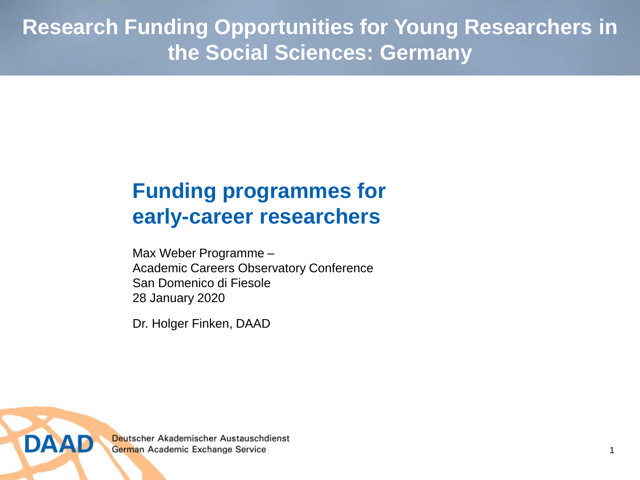**Research Funding Opportunities for Young Researchers in the Social Sciences: Germany**

## **Funding programmes for early-career researchers**

Max Weber Programme – Academic Careers Observatory Conference San Domenico di Fiesole 28 January 2020

Dr. Holger Finken, DAAD

Deutscher Akademischer Austauschdienst German Academic Exchange Service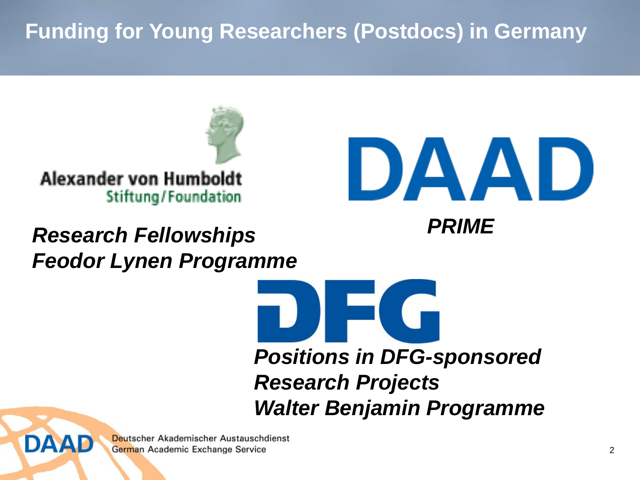## **Funding for Young Researchers (Postdocs) in Germany**



# *PRIME Research Fellowships Feodor Lynen Programme*



```
IEG
Positions in DFG-sponsored
```
*Research Projects Walter Benjamin Programme*

Deutscher Akademischer Austauschdienst German Academic Exchange Service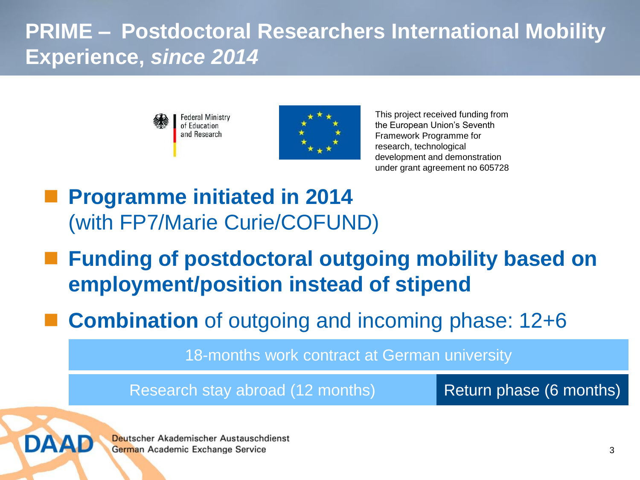## **PRIME – Postdoctoral Researchers International Mobility Experience,** *since 2014*





This project received funding from the European Union's Seventh Framework Programme for research, technological development and demonstration under grant agreement no 605728

- **Programme initiated in 2014** (with FP7/Marie Curie/COFUND)
- **Funding of postdoctoral outgoing mobility based on employment/position instead of stipend**
- **Combination** of outgoing and incoming phase: 12+6

18-months work contract at German university

Research stay abroad (12 months) Return phase (6 months)



Deutscher Akademischer Austauschdienst German Academic Exchange Service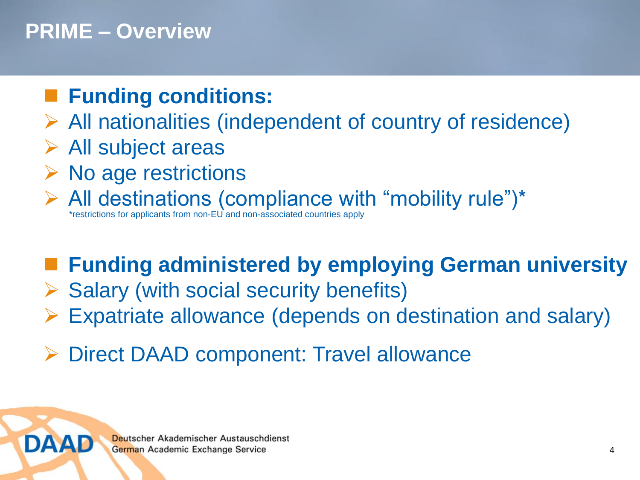#### **PRIME – Overview**

## **Funding conditions:**

- $\triangleright$  All nationalities (independent of country of residence)
- $\triangleright$  All subject areas

DAAD

- No age restrictions
- All destinations (compliance with "mobility rule")\* \*restrictions for applicants from non-EU and non-associated countries apply

# **Funding administered by employing German university**

- $\triangleright$  Salary (with social security benefits)
- Expatriate allowance (depends on destination and salary)
- Direct DAAD component: Travel allowance

Deutscher Akademischer Austauschdienst German Academic Exchange Service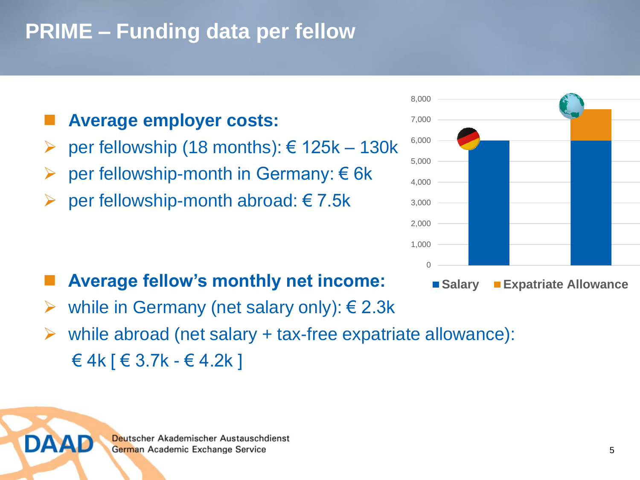#### **PRIME – Funding data per fellow**

#### **Average employer costs:**

- per fellowship (18 months): € 125k 130k
- **►** per fellowship-month in Germany:  $€ 6k$
- $\rho$  per fellowship-month abroad: € 7.5k



#### $\Omega$ 1,000 2,000 3,000 4,000 5,000 6,000 7,000 8,000

- **Salary Expatriate Allowance**
- while in Germany (net salary only): € 2.3k
- while abroad (net salary + tax-free expatriate allowance):  $€ 4k$   $\in$  3.7k -  $€ 4.2k$  ]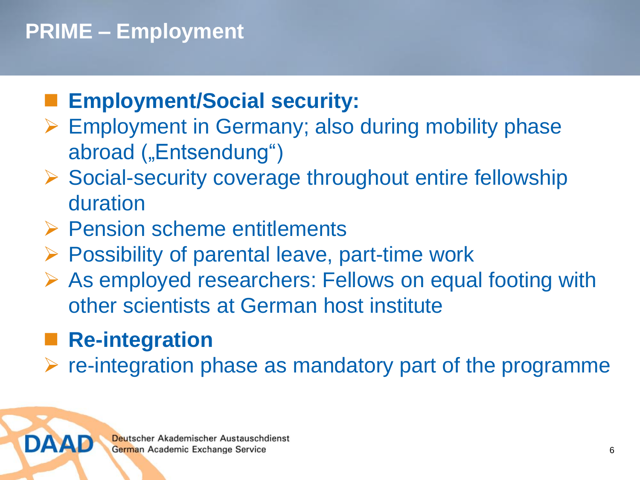## **PRIME – Employment**

### **Employment/Social security:**

- ▶ Employment in Germany; also during mobility phase abroad ("Entsendung")
- $\triangleright$  Social-security coverage throughout entire fellowship duration
- **► Pension scheme entitlements**
- $\triangleright$  Possibility of parental leave, part-time work
- As employed researchers: Fellows on equal footing with other scientists at German host institute

#### **Re-integration**

DAAD

re-integration phase as mandatory part of the programme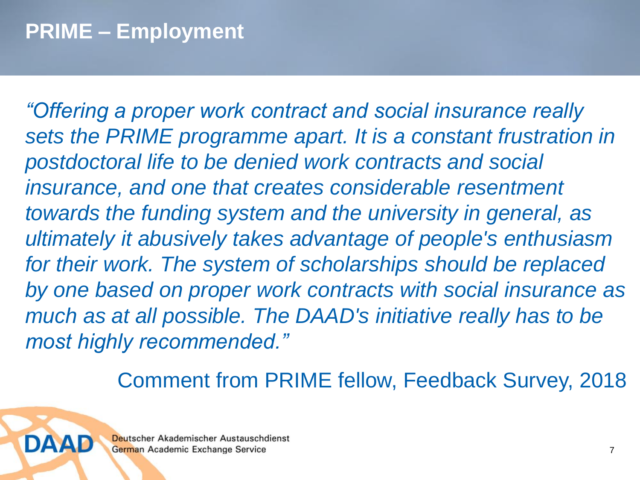*"Offering a proper work contract and social insurance really sets the PRIME programme apart. It is a constant frustration in postdoctoral life to be denied work contracts and social insurance, and one that creates considerable resentment towards the funding system and the university in general, as ultimately it abusively takes advantage of people's enthusiasm for their work. The system of scholarships should be replaced by one based on proper work contracts with social insurance as much as at all possible. The DAAD's initiative really has to be most highly recommended."*

Comment from PRIME fellow, Feedback Survey, 2018

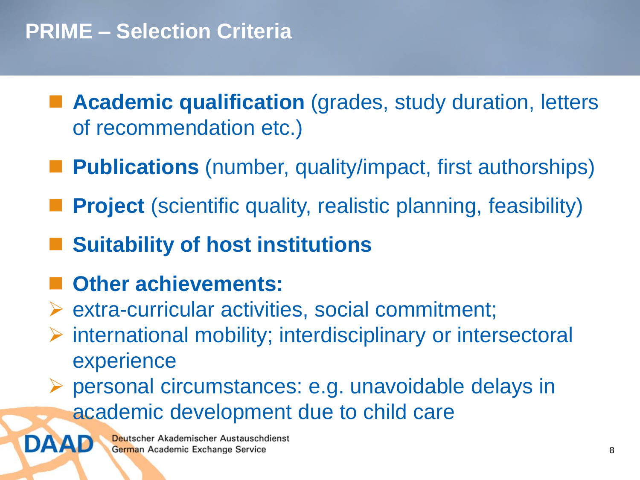- **Academic qualification** (grades, study duration, letters of recommendation etc.)
- **Publications** (number, quality/impact, first authorships)
- **Project** (scientific quality, realistic planning, feasibility)
- **Suitability of host institutions**
- **Other achievements:**

DAAD

- $\triangleright$  extra-curricular activities, social commitment;
- $\triangleright$  international mobility; interdisciplinary or intersectoral experience
- personal circumstances: e.g. unavoidable delays in academic development due to child care

Deutscher Akademischer Austauschdienst German Academic Exchange Service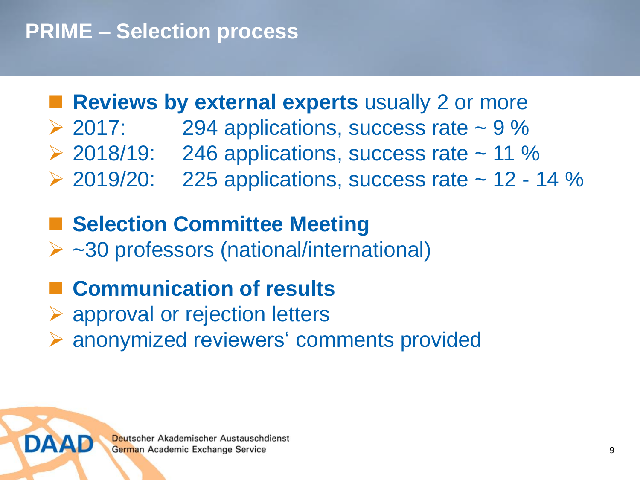#### **PRIME – Selection process**

#### **Reviews by external experts** usually 2 or more

- $\geq$  2017: 294 applications, success rate  $\sim$  9 %
- $\geq$  2018/19: 246 applications, success rate  $\sim$  11 %
- $\geq$  2019/20: 225 applications, success rate  $\sim$  12 14 %

#### **Selection Committee Meeting**

~30 professors (national/international)

#### **Communication of results**

- **► approval or rejection letters**
- anonymized reviewers' comments provided

DAAL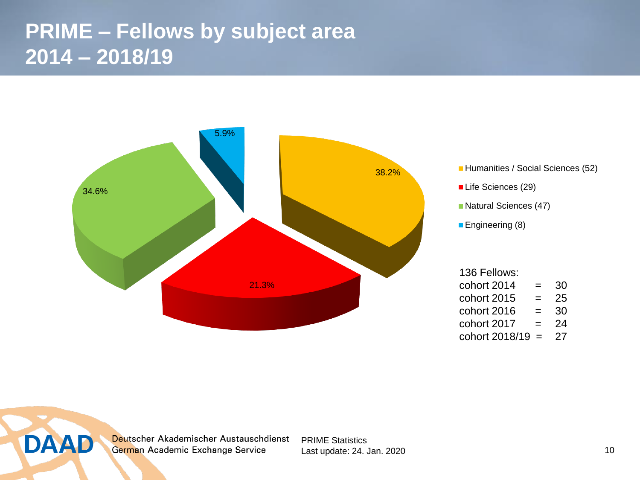#### **PRIME – Fellows by subject area 2014 – 2018/19**

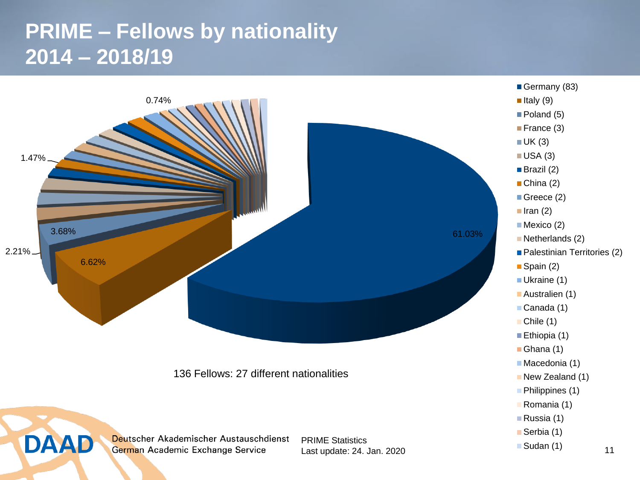## **PRIME – Fellows by nationality 2014 – 2018/19**

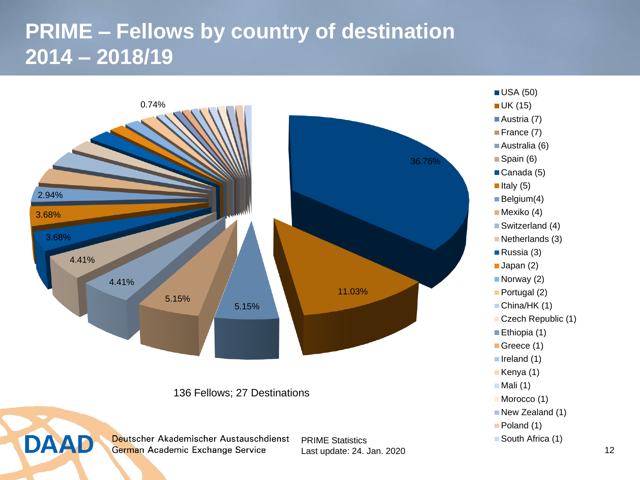## **PRIME – Fellows by country of destination 2014 – 2018/19**

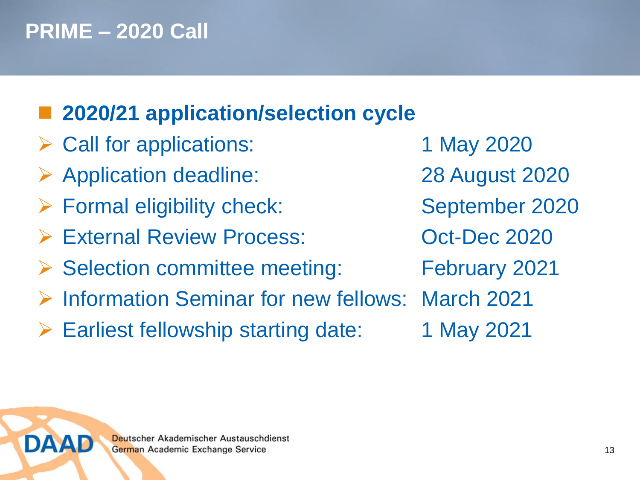## **PRIME – 2020 Call**

DAAD

# **2020/21 application/selection cycle**

- Call for applications: 1 May 2020
- Application deadline: 28 August 2020
- Formal eligibility check: September 2020
- External Review Process: Oct-Dec 2020
- ▶ Selection committee meeting: February 2021
- **▶ Information Seminar for new fellows: March 2021**
- Earliest fellowship starting date: 1 May 2021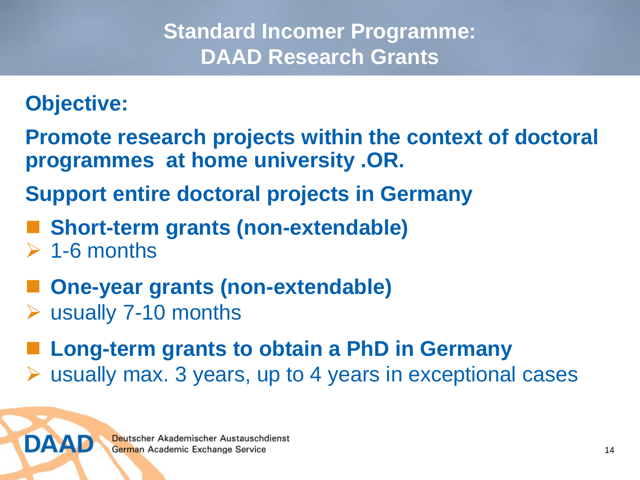#### **Standard Incomer Programme: DAAD Research Grants**

#### **Objective:**

**Promote research projects within the context of doctoral programmes at home university .OR.** 

**Support entire doctoral projects in Germany**

- **Short-term grants (non-extendable)**
- $\geq 1$ -6 months

DAAD

- **One-year grants (non-extendable)**
- usually 7-10 months

 **Long-term grants to obtain a PhD in Germany** usually max. 3 years, up to 4 years in exceptional cases

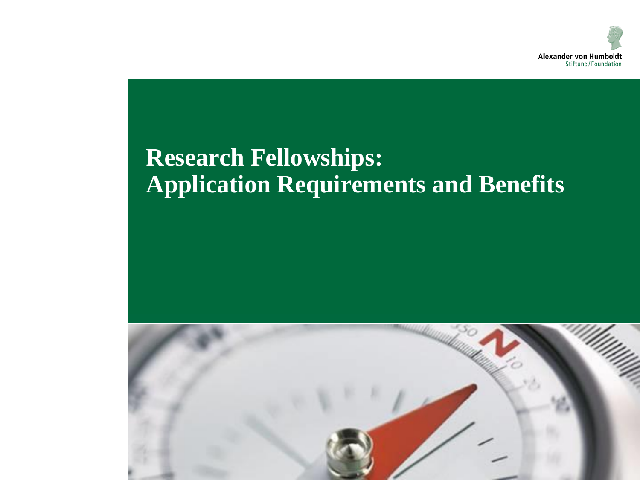

# **Research Fellowships: Application Requirements and Benefits**

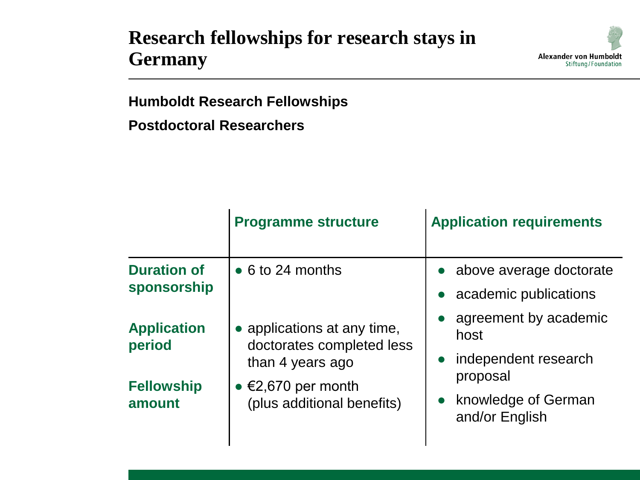#### **Research fellowships for research stays in Germany**



**Postdoctoral Researchers**

|                                   | <b>Programme structure</b>                                                   | <b>Application requirements</b>                                                                                |
|-----------------------------------|------------------------------------------------------------------------------|----------------------------------------------------------------------------------------------------------------|
| <b>Duration of</b><br>sponsorship | $\bullet$ 6 to 24 months                                                     | • above average doctorate<br>academic publications                                                             |
| <b>Application</b><br>period      | • applications at any time,<br>doctorates completed less<br>than 4 years ago | agreement by academic<br>host<br>• independent research<br>proposal<br>• knowledge of German<br>and/or English |
| <b>Fellowship</b><br>amount       | • $\epsilon$ 2,670 per month<br>(plus additional benefits)                   |                                                                                                                |

**Alexander von Humboldt** Stiftung/Foundation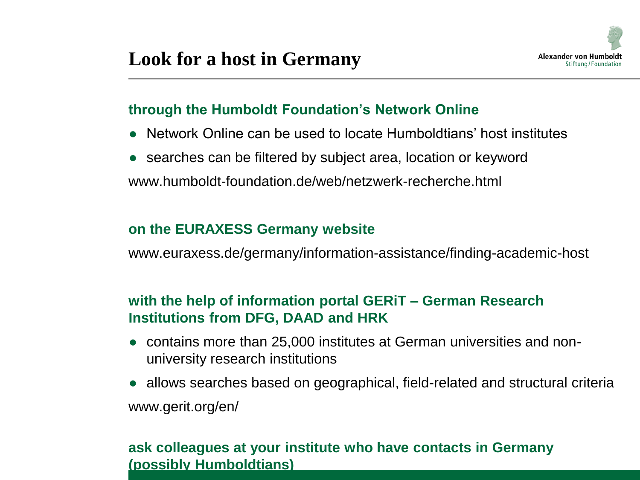

#### **through the Humboldt Foundation's Network Online**

- Network Online can be used to locate Humboldtians' host institutes
- searches can be filtered by subject area, location or keyword www.humboldt-foundation.de/web/netzwerk-recherche.html

#### **on the EURAXESS Germany website**

www.euraxess.de/germany/information-assistance/finding-academic-host

#### **with the help of information portal GERiT – German Research Institutions from DFG, DAAD and HRK**

- contains more than 25,000 institutes at German universities and nonuniversity research institutions
- allows searches based on geographical, field-related and structural criteria www.gerit.org/en/

#### **ask colleagues at your institute who have contacts in Germany (possibly Humboldtians)**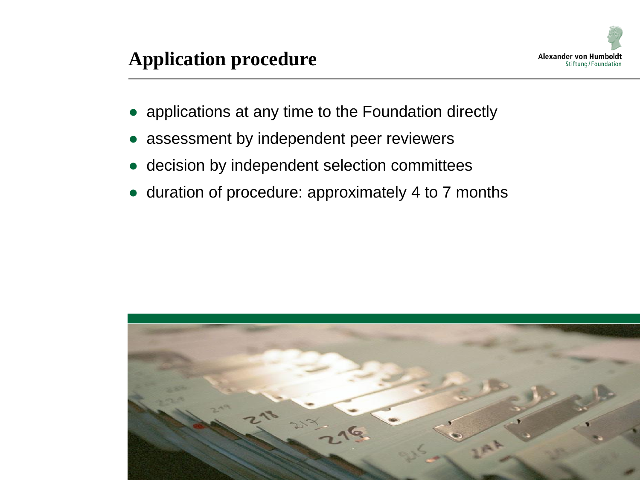

- applications at any time to the Foundation directly
- assessment by independent peer reviewers
- decision by independent selection committees
- duration of procedure: approximately 4 to 7 months

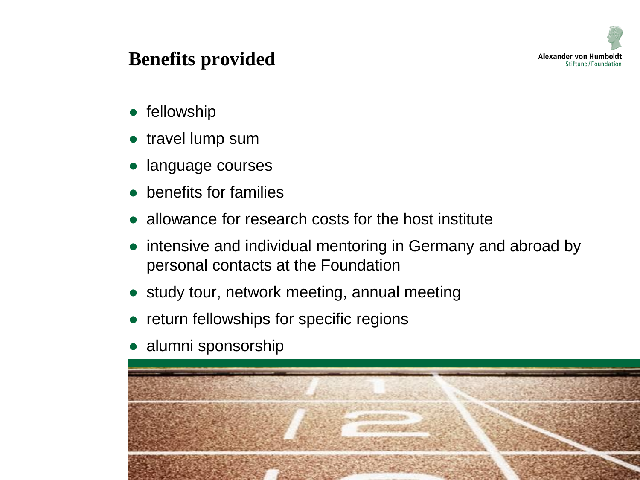

#### **Benefits provided**

- fellowship
- travel lump sum
- language courses
- **benefits for families**
- allowance for research costs for the host institute
- intensive and individual mentoring in Germany and abroad by personal contacts at the Foundation
- study tour, network meeting, annual meeting
- return fellowships for specific regions
- alumni sponsorship

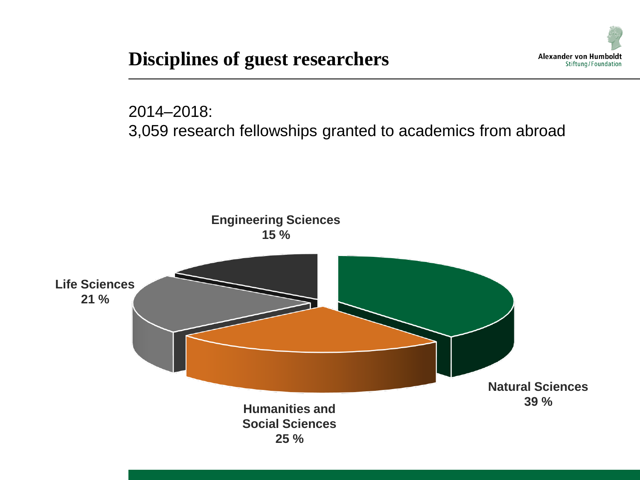**Disciplines of guest researchers**



2014–2018: 3,059 research fellowships granted to academics from abroad

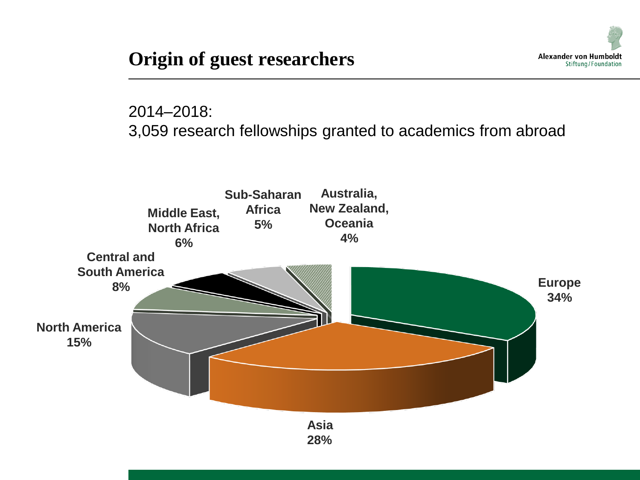

2014–2018: 3,059 research fellowships granted to academics from abroad